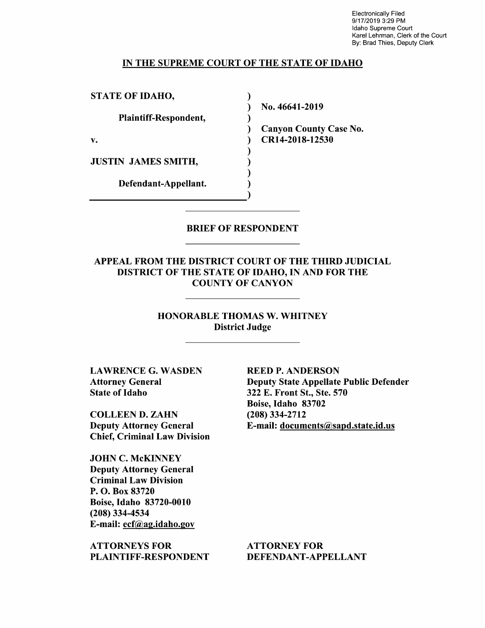Electronically Filed 9/17/2019 3:29 PM Idaho Supreme Court Karel Lehrman, Clerk of the Court By: Brad Thies, Deputy Clerk

#### IN THE SUPREME COURT OF THE STATE OF IDAHO

)

)

) ) )

STATE OF IDAHO,

Plaintiff-Respondent,

v.

JUSTIN JAMES SMITH,

Defendant-Appellant. (1)

) No. 46641-2019

) Canyon County Case No. ) CR14-2018-12530

#### BRIEF OF RESPONDENT

APPEAL FROM THE DISTRICT COURT OF THE THIRD JUDICIAL DISTRICT OF THE STATE OF IDAHO, IN AND FOR THE COUNTY OF CANYON

> HONORABLE THOMAS W. WHITNEY District Judge

LAWRENCE G. WASDEN Attorney General State of Idaho

COLLEEN **D. ZAHN**  Deputy Attorney General Chief, Criminal Law Division

JOHN C. McKINNEY Deputy Attorney General Criminal Law Division P. 0. Box 83720 Boise, Idaho 83720-0010 (208) 334-4534 E-mail: ecf@ag.idaho.gov

ATTORNEYS FOR PLAINTIFF-RESPONDENT

**REED P. ANDERSON**  Deputy State Appellate Public Defender 322 E. Front St., Ste. 570 Boise, Idaho 83702 (208) 334-2712 E-mail: documents@sapd.state.id.us

ATTORNEY FOR DEFENDANT-APPELLANT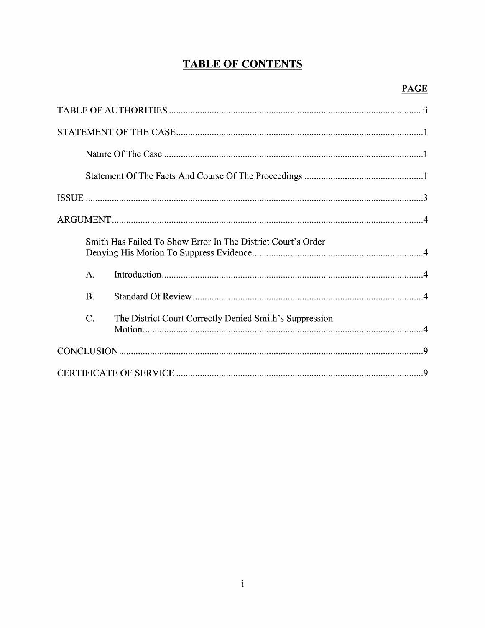# **TABLE OF CONTENTS**

|                 | Smith Has Failed To Show Error In The District Court's Order |  |
|-----------------|--------------------------------------------------------------|--|
| $A$ .           |                                                              |  |
| <b>B.</b>       |                                                              |  |
| $\mathcal{C}$ . | The District Court Correctly Denied Smith's Suppression      |  |
|                 |                                                              |  |
|                 |                                                              |  |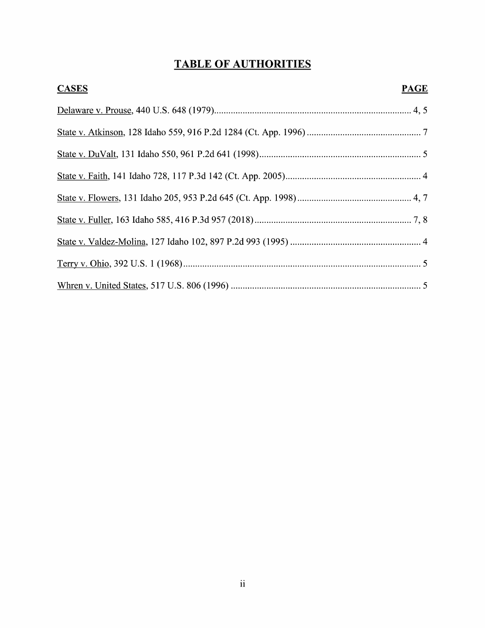# **TABLE OF AUTHORITIES**

| <b>CASES</b> | <b>PAGE</b> |
|--------------|-------------|
|              |             |
|              |             |
|              |             |
|              |             |
|              |             |
|              |             |
|              |             |
|              |             |
|              |             |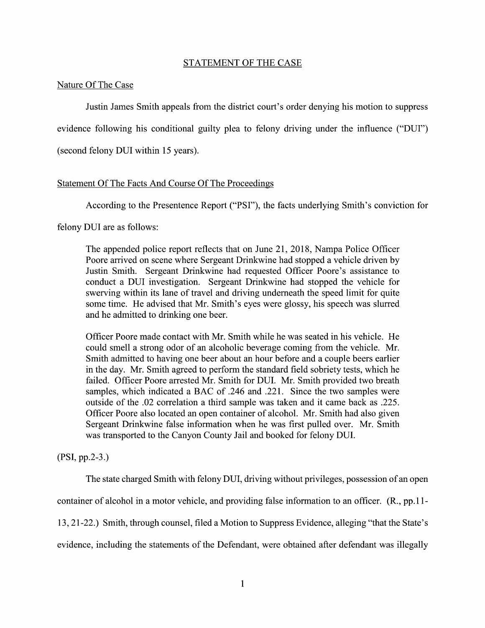### STATEMENT OF THE CASE

### Nature Of The Case

Justin James Smith appeals from the district court's order denying his motion to suppress evidence following his conditional guilty plea to felony driving under the influence ("DUI") (second felony DUI within 15 years).

## Statement Of The Facts And Course Of The Proceedings

According to the Presentence Report ("PSI"), the facts underlying Smith's conviction for

felony DUI are as follows:

The appended police report reflects that on June 21, 2018, Nampa Police Officer Poore arrived on scene where Sergeant Drinkwine had stopped a vehicle driven by Justin Smith. Sergeant Drinkwine had requested Officer Poore's assistance to conduct a DUI investigation. Sergeant Drinkwine had stopped the vehicle for swerving within its lane of travel and driving underneath the speed limit for quite some time. He advised that Mr. Smith's eyes were glossy, his speech was slurred and he admitted to drinking one beer.

Officer Poore made contact with Mr. Smith while he was seated in his vehicle. He could smell a strong odor of an alcoholic beverage coming from the vehicle. Mr. Smith admitted to having one beer about an hour before and a couple beers earlier in the day. Mr. Smith agreed to perform the standard field sobriety tests, which he failed. Officer Poore arrested Mr. Smith for DUI. Mr. Smith provided two breath samples, which indicated a BAC of .246 and .221. Since the two samples were outside of the .02 correlation a third sample was taken and it came back as .225. Officer Poore also located an open container of alcohol. Mr. Smith had also given Sergeant Drinkwine false information when he was first pulled over. Mr. Smith was transported to the Canyon County Jail and booked for felony DUI.

(PSI, pp.2-3.)

The state charged Smith with felony DUI, driving without privileges, possession of an open container of alcohol in a motor vehicle, and providing false information to an officer. (R., pp.11- 13, 21-22.) Smith, through counsel, filed a Motion to Suppress Evidence, alleging "that the State's evidence, including the statements of the Defendant, were obtained after defendant was illegally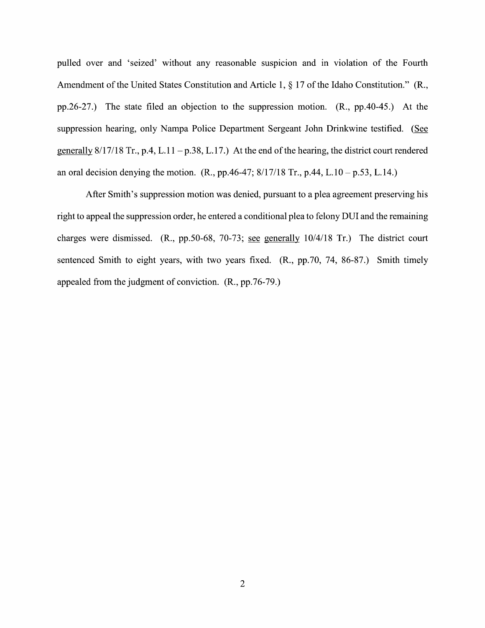pulled over and 'seized' without any reasonable suspicion and in violation of the Fourth Amendment of the United States Constitution and Article 1, § 17 of the Idaho Constitution." **(R.,**  pp.26-27.) The state filed an objection to the suppression motion. **(R.,** pp.40-45.) At the suppression hearing, only Nampa Police Department Sergeant John Drinkwine testified. (See generally  $8/17/18$  Tr., p.4, L.11 - p.38, L.17.) At the end of the hearing, the district court rendered an oral decision denying the motion. **(R.,** pp.46-47; 8/17/18 Tr., p.44, L.10-p.53, L.14.)

After Smith's suppression motion was denied, pursuant to a plea agreement preserving his right to appeal the suppression order, he entered a conditional plea to felony DUI and the remaining charges were dismissed. **(R.,** pp.50-68, 70-73; see generally 10/4/18 Tr.) The district court sentenced Smith to eight years, with two years fixed. **(R.,** pp.70, 74, 86-87.) Smith timely appealed from the judgment of conviction. **(R.,** pp.76-79.)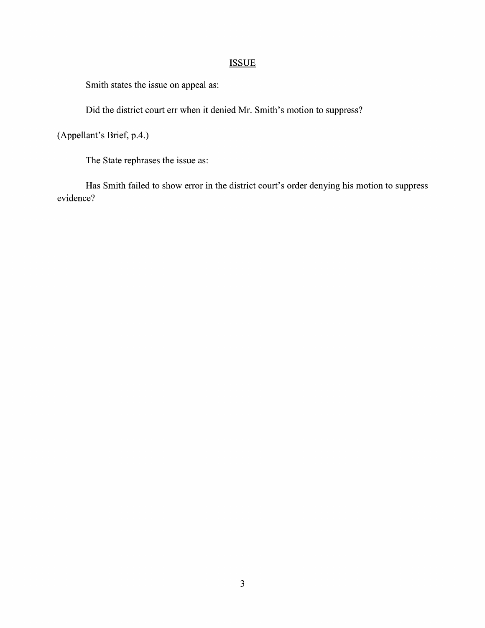## **ISSUE**

Smith states the issue on appeal as:

Did the district court err when it denied Mr. Smith's motion to suppress?

(Appellant's Brief, p.4.)

The State rephrases the issue as:

Has Smith failed to show error in the district court's order denying his motion to suppress evidence?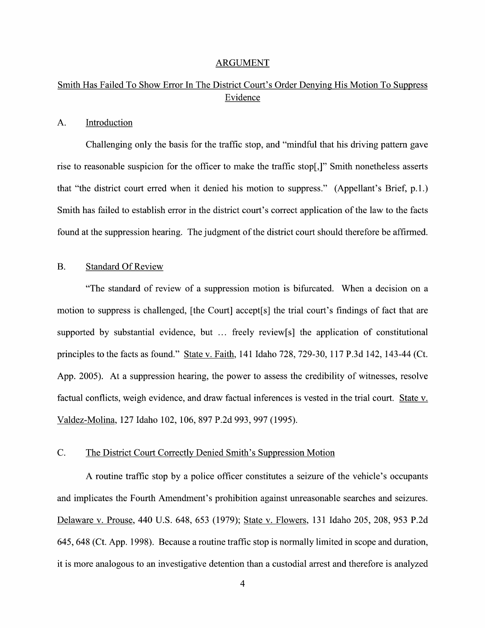#### ARGUMENT

## Smith Has Failed To Show Error In The District Court's Order Denying His Motion To Suppress Evidence

## A. Introduction

Challenging only the basis for the traffic stop, and "mindful that his driving pattern gave rise to reasonable suspicion for the officer to make the traffic stop[,]" Smith nonetheless asserts that "the district court erred when it denied his motion to suppress." (Appellant's Brief, p.1.) Smith has failed to establish error in the district court's correct application of the law to the facts found at the suppression hearing. The judgment of the district court should therefore be affirmed.

## B. Standard Of Review

"The standard of review of a suppression motion is bifurcated. When a decision on a motion to suppress is challenged, [the Court] accept[s] the trial court's findings of fact that are supported by substantial evidence, but  $\ldots$  freely review[s] the application of constitutional principles to the facts as found." State v. Faith, 141 Idaho 728, 729-30, 117 P.3d 142, 143-44 (Ct. App. 2005). At a suppression hearing, the power to assess the credibility of witnesses, resolve factual conflicts, weigh evidence, and draw factual inferences is vested in the trial court. State v. Valdez-Molina, 127 Idaho 102, 106, 897 P.2d 993, 997 (1995).

## C. The District Court Correctly Denied Smith's Suppression Motion

A routine traffic stop by a police officer constitutes a seizure of the vehicle's occupants and implicates the Fourth Amendment's prohibition against unreasonable searches and seizures. Delaware v. Prouse, 440 U.S. 648, 653 (1979); State v. Flowers, 131 Idaho 205, 208, 953 P.2d 645, 648 (Ct. App. 1998). Because a routine traffic stop is normally limited in scope and duration, it is more analogous to an investigative detention than a custodial arrest and therefore is analyzed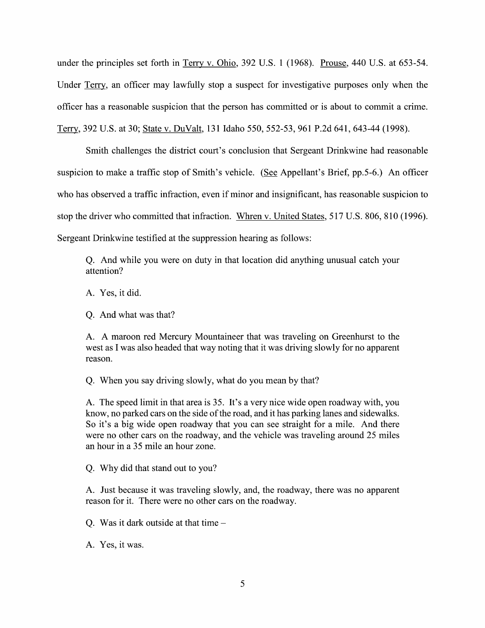under the principles set forth in Terry v. Ohio, 392 U.S. 1 (1968). Prouse, 440 U.S. at 653-54. Under Terry. an officer may lawfully stop a suspect for investigative purposes only when the officer has a reasonable suspicion that the person has committed or is about to commit a crime. Terry. 392 U.S. at 30; State v. DuValt, 131 Idaho 550, 552-53, 961 P.2d 641, 643-44 (1998).

Smith challenges the district court's conclusion that Sergeant Drinkwine had reasonable suspicion to make a traffic stop of Smith's vehicle. (See Appellant's Brief, pp.5-6.) An officer who has observed a traffic infraction, even if minor and insignificant, has reasonable suspicion to stop the driver who committed that infraction. Whren v. United States, 517 U.S. 806, 810 (1996). Sergeant Drinkwine testified at the suppression hearing as follows:

Q. And while you were on duty in that location did anything unusual catch your attention?

A. Yes, it did.

Q. And what was that?

A. A maroon red Mercury Mountaineer that was traveling on Greenhurst to the west as I was also headed that way noting that it was driving slowly for no apparent reason.

Q. When you say driving slowly, what do you mean by that?

A. The speed limit in that area is 35. It's a very nice wide open roadway with, you know, no parked cars on the side of the road, and it has parking lanes and sidewalks. So it's a big wide open roadway that you can see straight for a mile. And there were no other cars on the roadway, and the vehicle was traveling around 25 miles an hour in a 35 mile an hour zone.

Q. Why did that stand out to you?

A. Just because it was traveling slowly, and, the roadway, there was no apparent reason for it. There were no other cars on the roadway.

Q. Was it dark outside at that time  $-$ 

A. Yes, it was.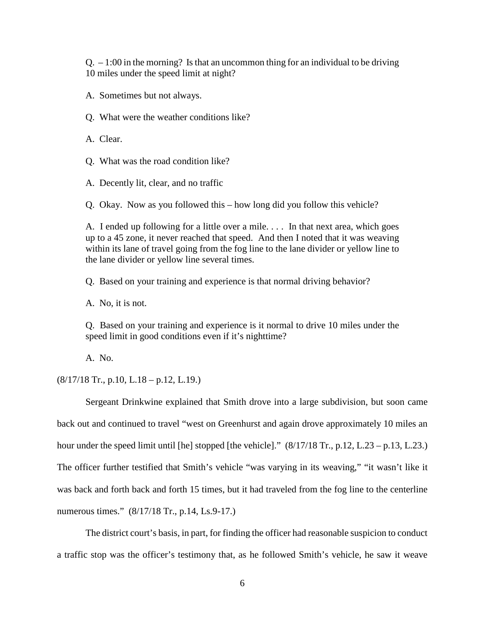$Q<sub>1</sub> - 1:00$  in the morning? Is that an uncommon thing for an individual to be driving 10 miles under the speed limit at night?

A. Sometimes but not always.

Q. What were the weather conditions like?

A. Clear.

Q. What was the road condition like?

A. Decently lit, clear, and no traffic

Q. Okay. Now as you followed this – how long did you follow this vehicle?

A. I ended up following for a little over a mile. . . . In that next area, which goes up to a 45 zone, it never reached that speed. And then I noted that it was weaving within its lane of travel going from the fog line to the lane divider or yellow line to the lane divider or yellow line several times.

Q. Based on your training and experience is that normal driving behavior?

A. No, it is not.

Q. Based on your training and experience is it normal to drive 10 miles under the speed limit in good conditions even if it's nighttime?

A. No.

 $(8/17/18$  Tr., p.10, L.18 – p.12, L.19.)

Sergeant Drinkwine explained that Smith drove into a large subdivision, but soon came back out and continued to travel "west on Greenhurst and again drove approximately 10 miles an hour under the speed limit until [he] stopped [the vehicle]."  $(8/17/18 \text{ Tr}., p.12, L.23 - p.13, L.23.)$ The officer further testified that Smith's vehicle "was varying in its weaving," "it wasn't like it was back and forth back and forth 15 times, but it had traveled from the fog line to the centerline numerous times." (8/17/18 Tr., p.14, Ls.9-17.)

 The district court's basis, in part, for finding the officer had reasonable suspicion to conduct a traffic stop was the officer's testimony that, as he followed Smith's vehicle, he saw it weave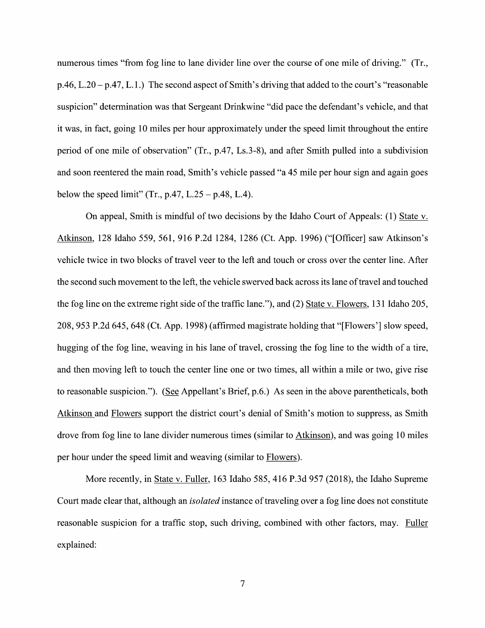numerous times "from fog line to lane divider line over the course of one mile of driving." (Tr.,  $p.46$ , L.20 –  $p.47$ , L.1.) The second aspect of Smith's driving that added to the court's "reasonable" suspicion" determination was that Sergeant Drinkwine "did pace the defendant's vehicle, and that it was, in fact, going 10 miles per hour approximately under the speed limit throughout the entire period of one mile of observation" (Tr., p.47, Ls.3-8), and after Smith pulled into a subdivision and soon reentered the main road, Smith's vehicle passed "a 45 mile per hour sign and again goes below the speed limit" (Tr., p.47,  $L.25 - p.48$ , L.4).

On appeal, Smith is mindful of two decisions by the Idaho Court of Appeals: (1) State v. Atkinson, 128 Idaho 559, 561, 916 P.2d 1284, 1286 (Ct. App. 1996) ("[Officer] saw Atkinson's vehicle twice in two blocks of travel veer to the left and touch or cross over the center line. After the second such movement to the left, the vehicle swerved back across its lane of travel and touched the fog line on the extreme right side of the traffic lane."), and (2) State v. Flowers, 131 Idaho 205, 208, 953 P.2d 645, 648 (Ct. App. 1998) (affirmed magistrate holding that "[Flowers'] slow speed, hugging of the fog line, weaving in his lane of travel, crossing the fog line to the width of a tire, and then moving left to touch the center line one or two times, all within a mile or two, give rise to reasonable suspicion."). (See Appellant's Brief, p.6.) As seen in the above parentheticals, both Atkinson and Flowers support the district court's denial of Smith's motion to suppress, as Smith drove from fog line to lane divider numerous times (similar to Atkinson), and was going 10 miles per hour under the speed limit and weaving (similar to Flowers).

More recently, in State v. Fuller, 163 Idaho 585, 416 P.3d 957 (2018), the Idaho Supreme Court made clear that, although an *isolated* instance of traveling over a fog line does not constitute reasonable suspicion for a traffic stop, such driving, combined with other factors, may. Fuller explained: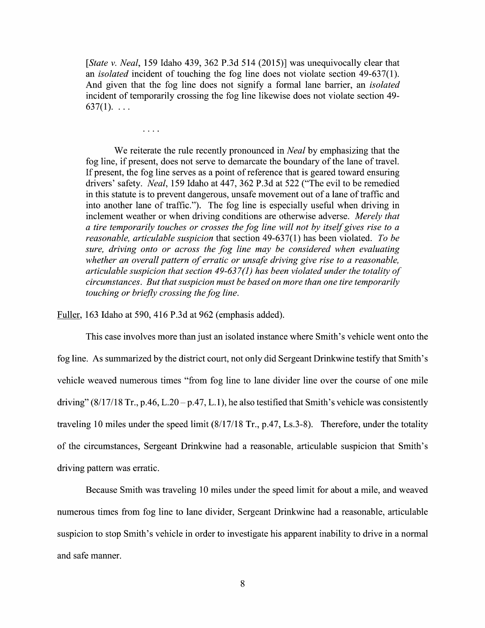[State v. Neal, 159 Idaho 439, 362 P.3d 514 (2015)] was unequivocally clear that an *isolated* incident of touching the fog line does not violate section 49-637(1). And given that the fog line does not signify a formal lane barrier, an *isolated* incident of temporarily crossing the fog line likewise does not violate section 49- $637(1)$ . ...

We reiterate the rule recently pronounced in *Neal* by emphasizing that the fog line, if present, does not serve to demarcate the boundary of the lane of travel. If present, the fog line serves as point 0f reference that is geared toward ensuring fog line, if present, does not serve to demarcate the boundary of the lane of travel.<br>If present, the fog line serves as a point of reference that is geared toward ensuring<br>drivers' safety. *Neal*, 159 Idaho at 447, 362 P. in this statute is to prevent dangerous, unsafe movement out of a lane of traffic and into another lane of traffic."). The fog line is especially useful When driving in inclement weather or when driving conditions are otherwise adverse. Merely that a tire temporarily touches or crosses the fog line will not by itself gives rise to a reasonable, articulable suspicion that section  $49-637(1)$  has been violated. To be sure, driving onto or across the fog line may be considered when evaluating whether an overall pattern of erratic or unsafe driving give rise to a reasonable, articulable suspicion that section  $49-637(1)$  has been violated under the totality of circumstances. But that suspicion must be based 0n more than one tire temporarily touching or briefly crossing the fog line.

Fuller, 163 Idaho at 590, 416 P.3d at 962 (emphasis added).

 $\ldots$  .

This case involves more than just an isolated instance Where Smith's vehicle went onto the fog line. As summarized by the district court, not only did Sergeant Drinkwine testify that Smith's vehicle weaved numerous times "from fog line to lane divider line over the course of one mile driving"  $(8/17/18$  Tr., p.46, L.20 – p.47, L.1), he also testified that Smith's vehicle was consistently traveling 10 miles under the speed limit (8/17/18 Tr., p.47, Ls.3-8). Therefore, under the totality 0f the circumstances, Sergeant Drinkwine had reasonable, articulable suspicion that Smith's driving pattern was erratic.

Because Smith was traveling 10 miles under the speed limit for about a mile, and weaved numerous times from fog line to lane divider, Sergeant Drinkwine had a reasonable, articulable suspicion to stop Smith's vehicle in order to investigate his apparent inability to drive in a normal and safe manner.